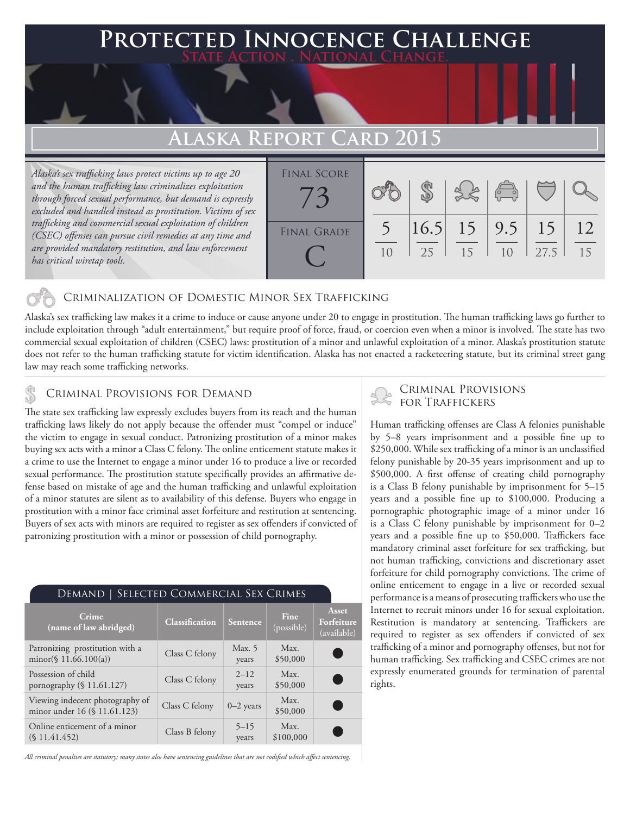## **PED INNOCENCE CHALLENGE State Action . National Change.**

# **Alaska Report Card 2015**

*Alaska's sex trafficking laws protect victims up to age 20 and the human trafficking law criminalizes exploitation through forced sexual performance, but demand is expressly excluded and handled instead as prostitution. Victims of sex trafficking and commercial sexual exploitation of children (CSEC) offenses can pursue civil remedies at any time and are provided mandatory restitution, and law enforcement has critical wiretap tools.*



## Criminalization of Domestic Minor Sex Trafficking

Alaska's sex trafficking law makes it a crime to induce or cause anyone under 20 to engage in prostitution. The human trafficking laws go further to include exploitation through "adult entertainment," but require proof of force, fraud, or coercion even when a minor is involved. The state has two commercial sexual exploitation of children (CSEC) laws: prostitution of a minor and unlawful exploitation of a minor. Alaska's prostitution statute does not refer to the human trafficking statute for victim identification. Alaska has not enacted a racketeering statute, but its criminal street gang law may reach some trafficking networks.

The state sex trafficking law expressly excludes buyers from its reach and the human trafficking laws likely do not apply because the offender must "compel or induce" the victim to engage in sexual conduct. Patronizing prostitution of a minor makes buying sex acts with a minor a Class C felony. The online enticement statute makes it a crime to use the Internet to engage a minor under 16 to produce a live or recorded sexual performance. The prostitution statute specifically provides an affirmative defense based on mistake of age and the human trafficking and unlawful exploitation of a minor statutes are silent as to availability of this defense. Buyers who engage in prostitution with a minor face criminal asset forfeiture and restitution at sentencing. Buyers of sex acts with minors are required to register as sex offenders if convicted of patronizing prostitution with a minor or possession of child pornography.

| SELECTED COMMERCIAL SEX CRIMES<br>Demand                        |                |                   |                           |                                    |
|-----------------------------------------------------------------|----------------|-------------------|---------------------------|------------------------------------|
| Crime<br>(name of law abridged)                                 | Classification | Sentence          | <b>Fine</b><br>(possible) | Asset<br>Forfeiture<br>(available) |
| Patronizing prostitution with a<br>$minor(\$ 11.66.100(a))$     | Class C felony | Max. 5<br>years   | Max.<br>\$50,000          |                                    |
| Possession of child<br>pornography (§ 11.61.127)                | Class C felony | $2 - 12$<br>years | Max.<br>\$50,000          | C.                                 |
| Viewing indecent photography of<br>minor under 16 (§ 11.61.123) | Class C felony | $0-2$ years       | Max.<br>\$50,000          | C.                                 |
| Online enticement of a minor<br>(S11.41.452)                    | Class B felony | $5 - 15$<br>years | Max.<br>\$100,000         |                                    |

*All criminal penalties are statutory; many states also have sentencing guidelines that are not codified which affect sentencing.* 

# CRIMINAL PROVISIONS FOR DEMAND **EXAMINAL PROVISIONS**

Human trafficking offenses are Class A felonies punishable by 5–8 years imprisonment and a possible fine up to \$250,000. While sex trafficking of a minor is an unclassified felony punishable by 20-35 years imprisonment and up to \$500,000. A first offense of creating child pornography is a Class B felony punishable by imprisonment for 5–15 years and a possible fine up to \$100,000. Producing a pornographic photographic image of a minor under 16 is a Class C felony punishable by imprisonment for 0–2 years and a possible fine up to \$50,000. Traffickers face mandatory criminal asset forfeiture for sex trafficking, but not human trafficking, convictions and discretionary asset forfeiture for child pornography convictions. The crime of online enticement to engage in a live or recorded sexual performance is a means of prosecuting traffickers who use the Internet to recruit minors under 16 for sexual exploitation. Restitution is mandatory at sentencing. Traffickers are required to register as sex offenders if convicted of sex trafficking of a minor and pornography offenses, but not for human trafficking. Sex trafficking and CSEC crimes are not expressly enumerated grounds for termination of parental rights.